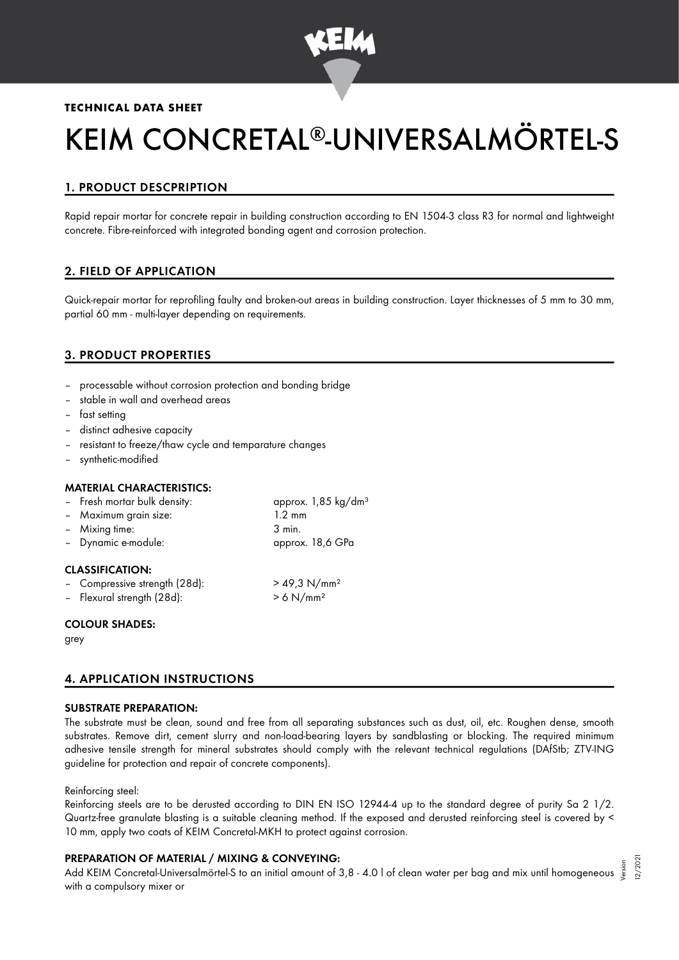

## **TECHNICAL DATA SHEET**

# KEIM CONCRETAL®-UNIVERSALMÖRTEL-S

# 1. PRODUCT DESCPRIPTION

Rapid repair mortar for concrete repair in building construction according to EN 1504-3 class R3 for normal and lightweight concrete. Fibre-reinforced with integrated bonding agent and corrosion protection.

# 2. FIELD OF APPLICATION

Quick-repair mortar for reprofiling faulty and broken-out areas in building construction. Layer thicknesses of 5 mm to 30 mm, partial 60 mm - multi-layer depending on requirements.

# 3. PRODUCT PROPERTIES

- processable without corrosion protection and bonding bridge
- stable in wall and overhead areas
- fast setting
- distinct adhesive capacity
- resistant to freeze/thaw cycle and temparature changes
- synthetic-modified

### MATERIAL CHARACTERISTICS:

| - Fresh mortar bulk density: | approx. 1,85 kg/dm <sup>3</sup> |
|------------------------------|---------------------------------|
| - Maximum grain size:        | $1.2 \text{ mm}$                |
| - Mixing time:               | 3 min.                          |
| - Dynamic e-module:          | approx. 18,6 GPa                |
|                              |                                 |

## CLASSIFICATION:

| - Compressive strength (28d): | $> 49.3$ N/mm <sup>2</sup> |
|-------------------------------|----------------------------|
| - Flexural strength (28d):    | $> 6$ N/mm <sup>2</sup>    |

#### COLOUR SHADES:

grey

## 4. APPLICATION INSTRUCTIONS

### SUBSTRATE PREPARATION:

The substrate must be clean, sound and free from all separating substances such as dust, oil, etc. Roughen dense, smooth substrates. Remove dirt, cement slurry and non-load-bearing layers by sandblasting or blocking. The required minimum adhesive tensile strength for mineral substrates should comply with the relevant technical regulations (DAfStb; ZTV-ING guideline for protection and repair of concrete components).

#### Reinforcing steel:

Reinforcing steels are to be derusted according to DIN EN ISO 12944-4 up to the standard degree of purity Sa 2 1/2. Quartz-free granulate blasting is a suitable cleaning method. If the exposed and derusted reinforcing steel is covered by < 10 mm, apply two coats of KEIM Concretal-MKH to protect against corrosion.

### PREPARATION OF MATERIAL / MIXING & CONVEYING:

e KEPARATION OF MATERIAL / MIXING & CONVETING:<br>Add KEIM Concretal-Universalmörtel-S to an initial amount of 3,8 - 4.0 l of clean water per bag and mix until homogeneous ﷺ with a compulsory mixer or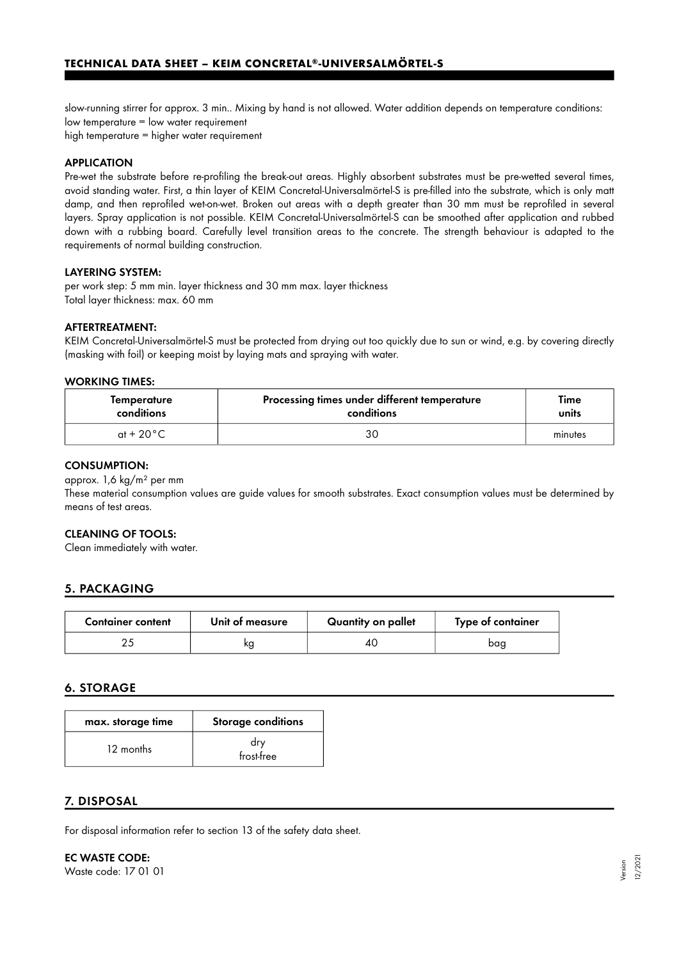slow-running stirrer for approx. 3 min.. Mixing by hand is not allowed. Water addition depends on temperature conditions: low temperature = low water requirement high temperature = higher water requirement

## APPLICATION

Pre-wet the substrate before re-profiling the break-out areas. Highly absorbent substrates must be pre-wetted several times, avoid standing water. First, a thin layer of KEIM Concretal-Universalmörtel-S is pre-filled into the substrate, which is only matt damp, and then reprofiled wet-on-wet. Broken out areas with a depth greater than 30 mm must be reprofiled in several layers. Spray application is not possible. KEIM Concretal-Universalmörtel-S can be smoothed after application and rubbed down with a rubbing board. Carefully level transition areas to the concrete. The strength behaviour is adapted to the requirements of normal building construction.

### LAYERING SYSTEM:

per work step: 5 mm min. layer thickness and 30 mm max. layer thickness Total layer thickness: max. 60 mm

### AFTERTREATMENT:

KEIM Concretal-Universalmörtel-S must be protected from drying out too quickly due to sun or wind, e.g. by covering directly (masking with foil) or keeping moist by laying mats and spraying with water.

#### WORKING TIMES:

| Temperature          | Processing times under different temperature | Time    |
|----------------------|----------------------------------------------|---------|
| conditions           | conditions                                   | units   |
| at + 20 $^{\circ}$ C | 30                                           | minutes |

#### CONSUMPTION:

approx. 1,6 kg/m² per mm

These material consumption values are guide values for smooth substrates. Exact consumption values must be determined by means of test areas.

### CLEANING OF TOOLS:

Clean immediately with water.

# 5. PACKAGING

| <b>Container content</b> | Unit of measure | Quantity on pallet | Type of container |
|--------------------------|-----------------|--------------------|-------------------|
|                          | kg              | 40                 | baa               |

### 6. STORAGE

| max. storage time | <b>Storage conditions</b> |
|-------------------|---------------------------|
| 12 months         | drv<br>frost-free         |

## 7. DISPOSAL

For disposal information refer to section 13 of the safety data sheet.

EC WASTE CODE: Waste code: 17 01 01